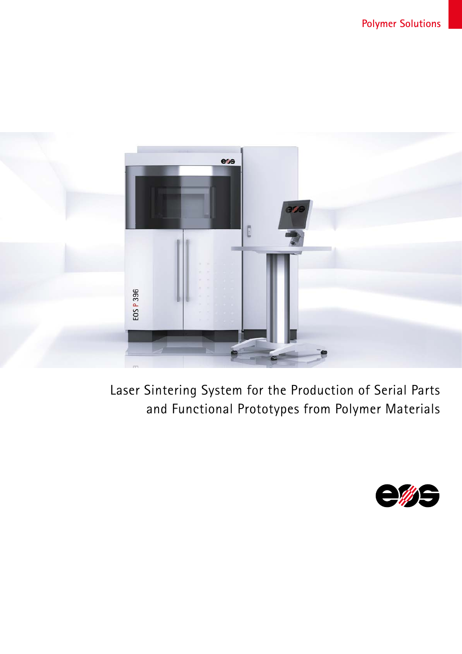

Laser Sintering System for the Production of Serial Parts and Functional Prototypes from Polymer Materials